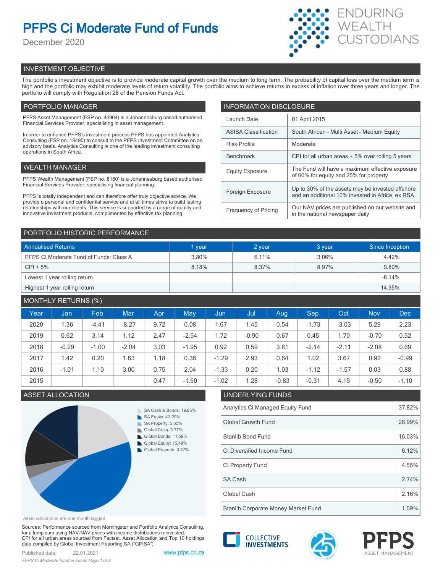# **PFPS Ci Moderate Fund of Funds**

December 2020



# INVESTMENT OBJECTIVE

The portfolio's investment objective is to provide moderate capital growth over the medium to long term. The probability of capital loss over the medium term is high and the portfolio may exhibit moderate levels of return volatility. The portfolio aims to achieve returns in excess of inflation over three years and longer. The portfolio will comply with Regulation 28 of the Pension Funds Act.

# PORTFOLIO MANAGER

PFPS Asset Management (FSP no. 44904) is a Johannesburg based authorised Financial Services Provider, specialising in asset management.

In order to enhance PFPS's investment process PFPS has appointed Analytics Consulting (FSP no. 18490) to consult to the PFPS Investment Committee on an advisory basis. Analytics Consulting is one of the leading investment consulting operations in South Africa.

## WEALTH MANAGER

PFPS Wealth Management (FSP no. 8160) is a Johannesburg based authorised Financial Services Provider, specialising financial planning.

PFPS is totally independent and can therefore offer truly objective advice. We provide a personal and confidential service and at all times strive to build lasting relationships with our clients. This service is supported by a range of quality and innovative investment products, complimented by effective tax planning.

| <b>INFORMATION DISCLOSURE</b> |                                                                                                      |  |  |  |  |
|-------------------------------|------------------------------------------------------------------------------------------------------|--|--|--|--|
| Launch Date                   | 01 April 2015                                                                                        |  |  |  |  |
| <b>ASISA Classification</b>   | South African - Multi Asset - Medium Equity                                                          |  |  |  |  |
| <b>Risk Profile</b>           | Moderate                                                                                             |  |  |  |  |
| <b>Benchmark</b>              | CPI for all urban areas + 5% over rolling 5 years                                                    |  |  |  |  |
| <b>Equity Exposure</b>        | The Fund will have a maximum effective exposure<br>of 60% for equity and 25% for property            |  |  |  |  |
| Foreign Exposure              | Up to 30% of the assets may be invested offshore<br>and an additional 10% invested in Africa, ex RSA |  |  |  |  |
| <b>Frequency of Pricing</b>   | Our NAV prices are published on our website and<br>in the national newspaper daily                   |  |  |  |  |

## PORTFOLIO HISTORIC PERFORMANCE

| <b>Annualised Returns</b>               | 1 year | 2 year | 3 year | Since Inception |
|-----------------------------------------|--------|--------|--------|-----------------|
| PFPS Ci Moderate Fund of Funds: Class A | 3.80%  | 6.11%  | 3.06%  | 4.42%           |
| $CPI + 5%$                              | 8.18%  | 8.37%  | 8.97%  | 9.80%           |
| Lowest 1 year rolling return            |        |        |        | $-8.14%$        |
| Highest 1 year rolling return           |        |        |        | 14.35%          |

# MONTHLY RETURNS (%)

| Year | Jan     | Feb     | <b>Mar</b> | Apr  | May     | Jun     | Jul     | Aug     | Sep     | Oct     | <b>Nov</b> | <b>Dec</b> |
|------|---------|---------|------------|------|---------|---------|---------|---------|---------|---------|------------|------------|
| 2020 | 1.36    | $-4.41$ | $-8.27$    | 9.72 | 0.08    | 1.67    | 1.45    | 0.54    | $-1.73$ | $-3.03$ | 5.29       | 2.23       |
| 2019 | 0.62    | 3.14    | 1.12       | 2.47 | $-2.54$ | 1.72    | $-0.90$ | 0.67    | 0.45    | 1.70    | $-0.70$    | 0.52       |
| 2018 | $-0.29$ | $-1.00$ | $-2.04$    | 3.03 | $-1.95$ | 0.92    | 0.59    | 3.81    | $-2.14$ | $-2.11$ | $-2.08$    | 0.69       |
| 2017 | 1.42    | 0.20    | 1.63       | 1.18 | 0.36    | $-1.29$ | 2.93    | 0.64    | 1.02    | 3.67    | 0.92       | $-0.99$    |
| 2016 | $-1.01$ | 1.10    | 3.00       | 0.75 | 2.04    | $-1.33$ | 0.20    | 1.03    | $-1.12$ | $-1.57$ | 0.03       | 0.88       |
| 2015 |         |         |            | 0.47 | $-1.60$ | $-1.02$ | 1.28    | $-0.83$ | $-0.31$ | 4.15    | $-0.50$    | $-1.10$    |

# **ASSET ALLOCATION**



| .02                                 | 1.28                      | $-0.83$ | $-0.31$ | 4.15 | $-0.50$ | $-1.10$ |  |  |
|-------------------------------------|---------------------------|---------|---------|------|---------|---------|--|--|
|                                     | UNDERLYING FUNDS          |         |         |      |         |         |  |  |
| Analytics Ci Managed Equity Fund    |                           |         |         |      |         |         |  |  |
|                                     | <b>Global Growth Fund</b> |         |         |      |         |         |  |  |
|                                     | Stanlib Bond Fund         |         |         |      |         |         |  |  |
| Ci Diversified Income Fund          |                           |         |         |      |         |         |  |  |
| Ci Property Fund                    |                           |         |         |      |         |         |  |  |
| <b>SA Cash</b>                      |                           |         |         |      |         | 2.74%   |  |  |
| Global Cash                         |                           |         |         |      |         | 2.16%   |  |  |
| Stanlib Corporate Money Market Fund |                           |         |         |      |         | 1.59%   |  |  |

ASSET MANAGEMENT

**COLLECTIVE INVESTMENTS** 

Asset allocations are one month lagged

Sources: Performance sourced from Morningstar and Portfolio Analytics Consulting, for a lump sum using NAV-NAV prices with income distributions reinvested. CPI for all urban areas sourced from Factset. Asset Allocation and Top 10 holdings data compiled by Global Investment Reporting SA ("GIRSA")

Published date: 22.01.2021 [www.pfps.co.za](https://www.pfps.co.za/)